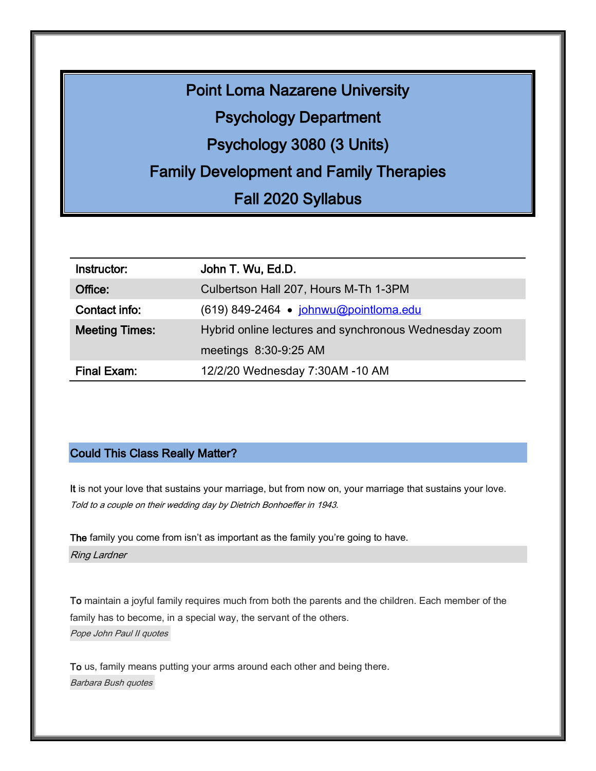Point Loma Nazarene University Psychology Department Psychology 3080 (3 Units) Family Development and Family Therapies Fall 2020 Syllabus

| Instructor:           | John T. Wu, Ed.D.                                     |
|-----------------------|-------------------------------------------------------|
| Office:               | Culbertson Hall 207, Hours M-Th 1-3PM                 |
| Contact info:         | (619) 849-2464 · johnwu@pointloma.edu                 |
| <b>Meeting Times:</b> | Hybrid online lectures and synchronous Wednesday zoom |
|                       | meetings 8:30-9:25 AM                                 |
| <b>Final Exam:</b>    | 12/2/20 Wednesday 7:30AM -10 AM                       |

## Could This Class Really Matter?

It is not your love that sustains your marriage, but from now on, your marriage that sustains your love. Told to a couple on their wedding day by Dietrich Bonhoeffer in 1943.

The family you come from isn't as important as the family you're going to have. Ring Lardner

To maintain a joyful family [requires much from both the parents and the children. Each member of the](http://www.searchquotes.com/quotation/To_maintain_a_joyful_family_requires_much_from_both_the_parents_and_the_children._Each_member_of_the/234694/) family [has to become, in a special way, the servant of the others.](http://www.searchquotes.com/quotation/To_maintain_a_joyful_family_requires_much_from_both_the_parents_and_the_children._Each_member_of_the/234694/) [Pope John Paul II quotes](http://www.searchquotes.com/quotes/author/Pope_John_Paul_II/)

To us, family [means putting your arms around each other and being there.](http://www.searchquotes.com/quotation/To_us%2C_family_means_putting_your_arms_around_each_other_and_being_there/5416/) [Barbara Bush quotes](http://www.searchquotes.com/quotes/author/Barbara_Bush/)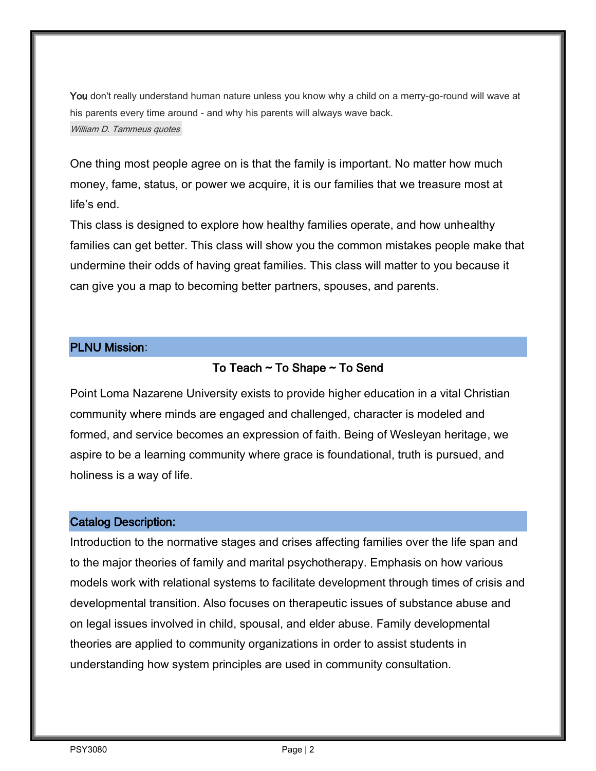You don't really understand human nature unless you know why a child on a merry-go-round will wave at his parents every time around - [and why his parents will always wave back.](http://www.searchquotes.com/quotation/You_don%27t_really_understand_human_nature_unless_you_know_why_a_child_on_a_merry-go-round_will_wave_a/33901/) William D. [Tammeus quotes](http://www.searchquotes.com/quotes/author/William_D_Tammeus/)

One thing most people agree on is that the family is important. No matter how much money, fame, status, or power we acquire, it is our families that we treasure most at life's end.

This class is designed to explore how healthy families operate, and how unhealthy families can get better. This class will show you the common mistakes people make that undermine their odds of having great families. This class will matter to you because it can give you a map to becoming better partners, spouses, and parents.

# PLNU Mission:

# To Teach  $\sim$  To Shape  $\sim$  To Send

Point Loma Nazarene University exists to provide higher education in a vital Christian community where minds are engaged and challenged, character is modeled and formed, and service becomes an expression of faith. Being of Wesleyan heritage, we aspire to be a learning community where grace is foundational, truth is pursued, and holiness is a way of life.

# Catalog Description:

Introduction to the normative stages and crises affecting families over the life span and to the major theories of family and marital psychotherapy. Emphasis on how various models work with relational systems to facilitate development through times of crisis and developmental transition. Also focuses on therapeutic issues of substance abuse and on legal issues involved in child, spousal, and elder abuse. Family developmental theories are applied to community organizations in order to assist students in understanding how system principles are used in community consultation.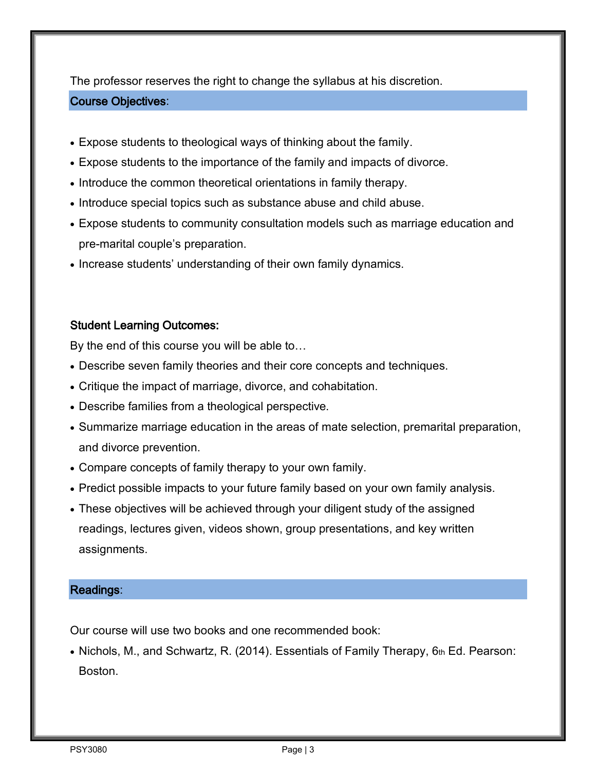The professor reserves the right to change the syllabus at his discretion.

## Course Objectives:

- Expose students to theological ways of thinking about the family.
- Expose students to the importance of the family and impacts of divorce.
- Introduce the common theoretical orientations in family therapy.
- Introduce special topics such as substance abuse and child abuse.
- Expose students to community consultation models such as marriage education and pre-marital couple's preparation.
- Increase students' understanding of their own family dynamics.

# Student Learning Outcomes:

By the end of this course you will be able to…

- Describe seven family theories and their core concepts and techniques.
- Critique the impact of marriage, divorce, and cohabitation.
- Describe families from a theological perspective.
- Summarize marriage education in the areas of mate selection, premarital preparation, and divorce prevention.
- Compare concepts of family therapy to your own family.
- Predict possible impacts to your future family based on your own family analysis.
- These objectives will be achieved through your diligent study of the assigned readings, lectures given, videos shown, group presentations, and key written assignments.

## Readings:

Our course will use two books and one recommended book:

• Nichols, M., and Schwartz, R. (2014). Essentials of Family Therapy, 6th Ed. Pearson: Boston.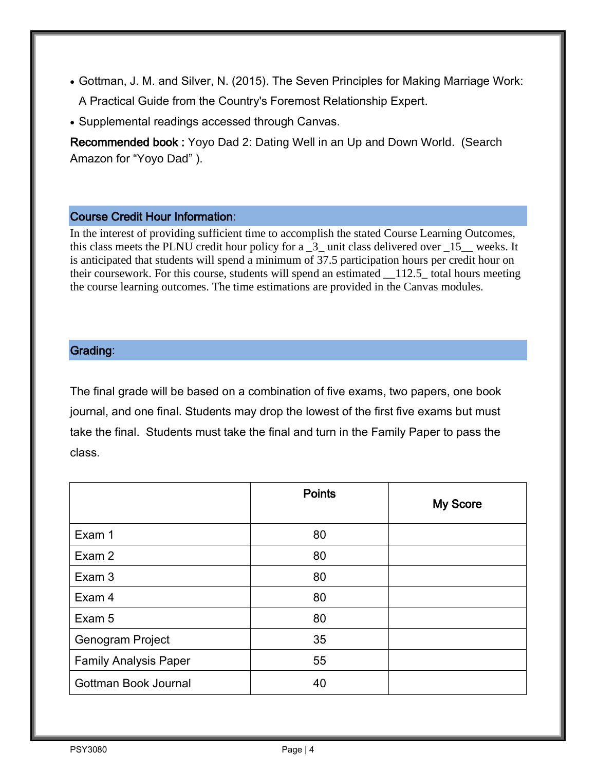- Gottman, J. M. and Silver, N. (2015). The Seven Principles for Making Marriage Work: A Practical Guide from the Country's Foremost Relationship Expert.
- Supplemental readings accessed through Canvas.

Recommended book : Yoyo Dad 2: Dating Well in an Up and Down World. (Search Amazon for "Yoyo Dad" ).

## Course Credit Hour Information:

In the interest of providing sufficient time to accomplish the stated Course Learning Outcomes, this class meets the PLNU credit hour policy for a  $\overline{3}$  unit class delivered over  $\overline{15}$  weeks. It is anticipated that students will spend a minimum of 37.5 participation hours per credit hour on their coursework. For this course, students will spend an estimated \_\_112.5\_ total hours meeting the course learning outcomes. The time estimations are provided in the Canvas modules.

# Grading:

The final grade will be based on a combination of five exams, two papers, one book journal, and one final. Students may drop the lowest of the first five exams but must take the final. Students must take the final and turn in the Family Paper to pass the class.

|                              | <b>Points</b> | My Score |
|------------------------------|---------------|----------|
| Exam 1                       | 80            |          |
| Exam 2                       | 80            |          |
| Exam 3                       | 80            |          |
| Exam 4                       | 80            |          |
| Exam 5                       | 80            |          |
| Genogram Project             | 35            |          |
| <b>Family Analysis Paper</b> | 55            |          |
| Gottman Book Journal         | 40            |          |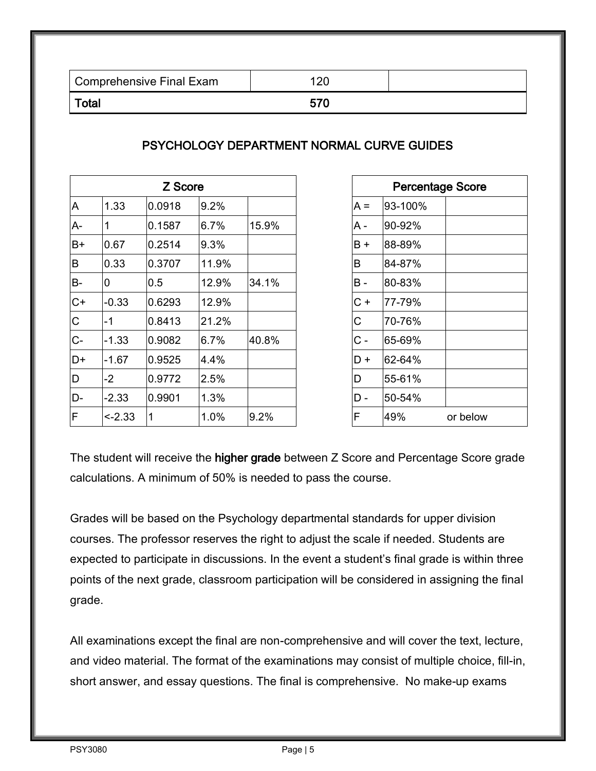| Comprehensive Final Exam |  |
|--------------------------|--|
| Total                    |  |

# PSYCHOLOGY DEPARTMENT NORMAL CURVE GUIDES

| Z Score        |             |        | <b>Percentage Score</b> |       |       |         |          |
|----------------|-------------|--------|-------------------------|-------|-------|---------|----------|
| A              | 1.33        | 0.0918 | 9.2%                    |       | $A =$ | 93-100% |          |
| A-             | $\mathbf 1$ | 0.1587 | 6.7%                    | 15.9% | A -   | 90-92%  |          |
| $B+$           | 0.67        | 0.2514 | 9.3%                    |       | B+    | 88-89%  |          |
| B              | 0.33        | 0.3707 | 11.9%                   |       | B     | 84-87%  |          |
| B-             | 0           | 0.5    | 12.9%                   | 34.1% | B -   | 80-83%  |          |
| $C+$           | $-0.33$     | 0.6293 | 12.9%                   |       | C+    | 77-79%  |          |
| $\overline{C}$ | $-1$        | 0.8413 | 21.2%                   |       | С     | 70-76%  |          |
| $C-$           | $-1.33$     | 0.9082 | 6.7%                    | 40.8% | $C -$ | 65-69%  |          |
| D+             | $-1.67$     | 0.9525 | 4.4%                    |       | D +   | 62-64%  |          |
| D              | $-2$        | 0.9772 | 2.5%                    |       | D     | 55-61%  |          |
| D-             | $-2.33$     | 0.9901 | 1.3%                    |       | D -   | 50-54%  |          |
| ΙF             | $-2.33$     | 1      | $1.0\%$                 | 9.2%  | F     | 49%     | or below |

| Z Score |       |       |   |            | <b>Percentage Score</b> |          |
|---------|-------|-------|---|------------|-------------------------|----------|
| 918     | 9.2%  |       |   | $A =$      | 93-100%                 |          |
| 587     | 6.7%  | 15.9% |   | A -        | 90-92%                  |          |
| 514     | 9.3%  |       |   | $B +$      | 88-89%                  |          |
| 707     | 11.9% |       |   | B          | 84-87%                  |          |
|         | 12.9% | 34.1% |   | <b>B</b> - | 80-83%                  |          |
| 293     | 12.9% |       |   | $C +$      | 77-79%                  |          |
| 413     | 21.2% |       |   | C          | 70-76%                  |          |
| 082     | 6.7%  | 40.8% |   | $C -$      | 65-69%                  |          |
| 525     | 4.4%  |       |   | D+         | 62-64%                  |          |
| 772     | 2.5%  |       | D |            | 55-61%                  |          |
| 901     | 1.3%  |       |   | D -        | 50-54%                  |          |
|         | 1.0%  | 9.2%  | F |            | 49%                     | or below |
|         |       |       |   |            |                         |          |

The student will receive the higher grade between Z Score and Percentage Score grade calculations. A minimum of 50% is needed to pass the course.

Grades will be based on the Psychology departmental standards for upper division courses. The professor reserves the right to adjust the scale if needed. Students are expected to participate in discussions. In the event a student's final grade is within three points of the next grade, classroom participation will be considered in assigning the final grade.

All examinations except the final are non-comprehensive and will cover the text, lecture, and video material. The format of the examinations may consist of multiple choice, fill-in, short answer, and essay questions. The final is comprehensive. No make-up exams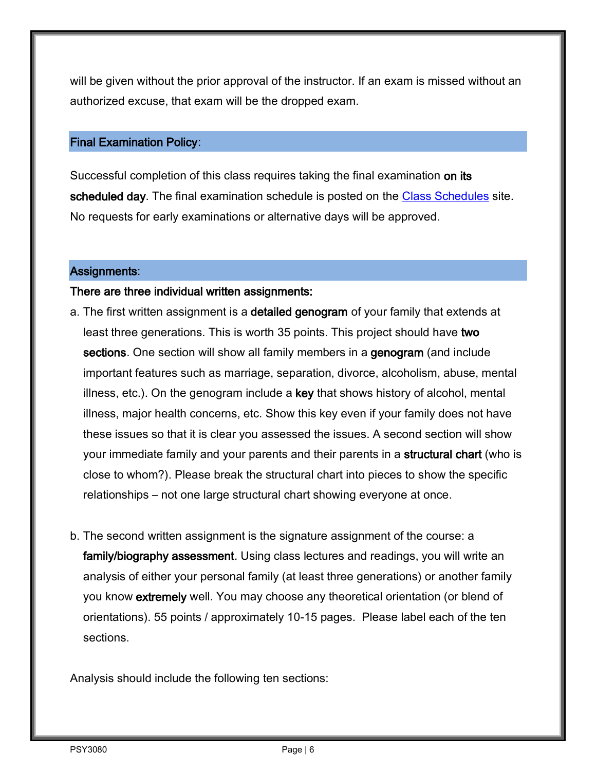will be given without the prior approval of the instructor. If an exam is missed without an authorized excuse, that exam will be the dropped exam.

#### Final Examination Policy:

Successful completion of this class requires taking the final examination on its scheduled day. The final examination schedule is posted on the [Class Schedules](http://www.pointloma.edu/experience/academics/class-schedules) site. No requests for early examinations or alternative days will be approved.

#### Assignments:

#### There are three individual written assignments:

- a. The first written assignment is a detailed genogram of your family that extends at least three generations. This is worth 35 points. This project should have two sections. One section will show all family members in a genogram (and include important features such as marriage, separation, divorce, alcoholism, abuse, mental illness, etc.). On the genogram include a key that shows history of alcohol, mental illness, major health concerns, etc. Show this key even if your family does not have these issues so that it is clear you assessed the issues. A second section will show your immediate family and your parents and their parents in a structural chart (who is close to whom?). Please break the structural chart into pieces to show the specific relationships – not one large structural chart showing everyone at once.
- b. The second written assignment is the signature assignment of the course: a family/biography assessment. Using class lectures and readings, you will write an analysis of either your personal family (at least three generations) or another family you know extremely well. You may choose any theoretical orientation (or blend of orientations). 55 points / approximately 10-15 pages. Please label each of the ten sections.

Analysis should include the following ten sections: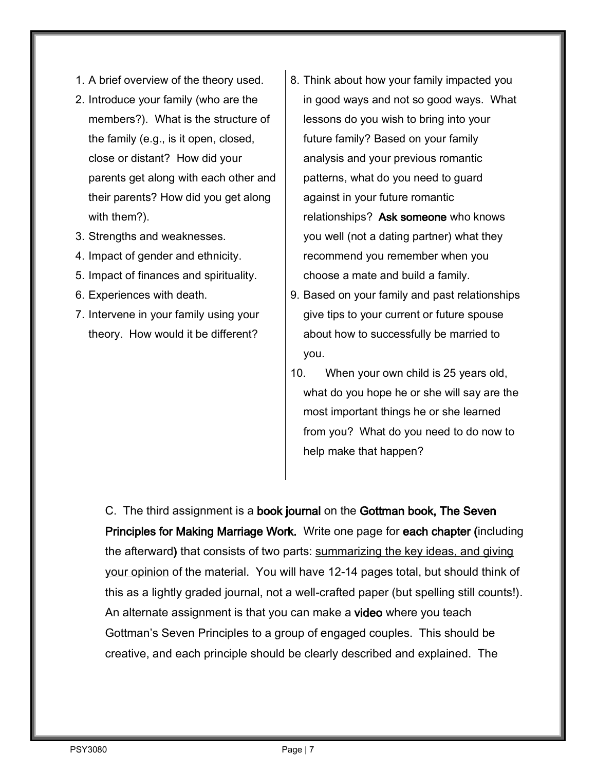- 1. A brief overview of the theory used.
- 2. Introduce your family (who are the members?). What is the structure of the family (e.g., is it open, closed, close or distant? How did your parents get along with each other and their parents? How did you get along with them?).
- 3. Strengths and weaknesses.
- 4. Impact of gender and ethnicity.
- 5. Impact of finances and spirituality.
- 6. Experiences with death.
- 7. Intervene in your family using your theory. How would it be different?
- 8. Think about how your family impacted you in good ways and not so good ways. What lessons do you wish to bring into your future family? Based on your family analysis and your previous romantic patterns, what do you need to guard against in your future romantic relationships? Ask someone who knows you well (not a dating partner) what they recommend you remember when you choose a mate and build a family.
- 9. Based on your family and past relationships give tips to your current or future spouse about how to successfully be married to you.
- 10. When your own child is 25 years old, what do you hope he or she will say are the most important things he or she learned from you? What do you need to do now to help make that happen?

C. The third assignment is a book journal on the Gottman book, The Seven Principles for Making Marriage Work. Write one page for each chapter (including the afterward) that consists of two parts: summarizing the key ideas, and giving your opinion of the material. You will have 12-14 pages total, but should think of this as a lightly graded journal, not a well-crafted paper (but spelling still counts!). An alternate assignment is that you can make a video where you teach Gottman's Seven Principles to a group of engaged couples. This should be creative, and each principle should be clearly described and explained. The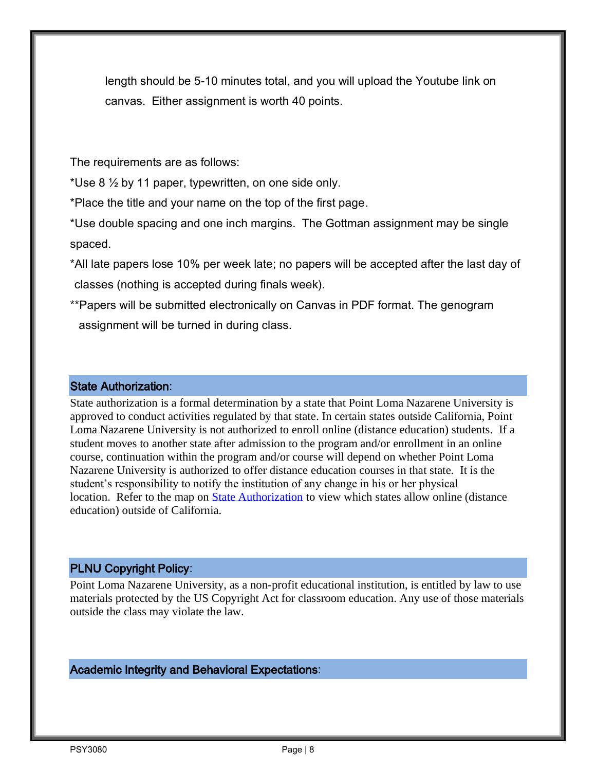length should be 5-10 minutes total, and you will upload the Youtube link on canvas. Either assignment is worth 40 points.

The requirements are as follows:

\*Use 8  $\frac{1}{2}$  by 11 paper, typewritten, on one side only.

\*Place the title and your name on the top of the first page.

\*Use double spacing and one inch margins. The Gottman assignment may be single spaced.

- \*All late papers lose 10% per week late; no papers will be accepted after the last day of classes (nothing is accepted during finals week).
- \*\*Papers will be submitted electronically on Canvas in PDF format. The genogram assignment will be turned in during class.

#### State Authorization:

State authorization is a formal determination by a state that Point Loma Nazarene University is approved to conduct activities regulated by that state. In certain states outside California, Point Loma Nazarene University is not authorized to enroll online (distance education) students. If a student moves to another state after admission to the program and/or enrollment in an online course, continuation within the program and/or course will depend on whether Point Loma Nazarene University is authorized to offer distance education courses in that state. It is the student's responsibility to notify the institution of any change in his or her physical location. Refer to the map on **State Authorization** to view which states allow online (distance education) outside of California.

## PLNU Copyright Policy:

Point Loma Nazarene University, as a non-profit educational institution, is entitled by law to use materials protected by the US Copyright Act for classroom education. Any use of those materials outside the class may violate the law.

Academic Integrity and Behavioral Expectations: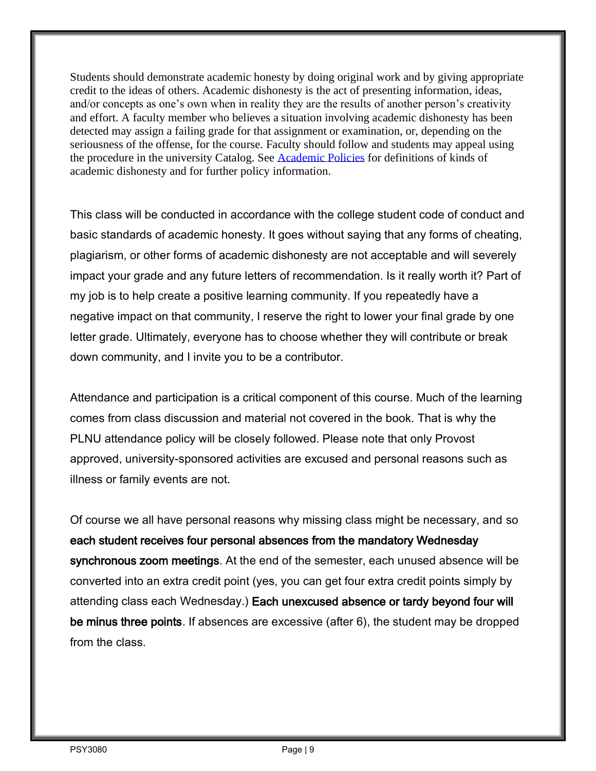Students should demonstrate academic honesty by doing original work and by giving appropriate credit to the ideas of others. Academic dishonesty is the act of presenting information, ideas, and/or concepts as one's own when in reality they are the results of another person's creativity and effort. A faculty member who believes a situation involving academic dishonesty has been detected may assign a failing grade for that assignment or examination, or, depending on the seriousness of the offense, for the course. Faculty should follow and students may appeal using the procedure in the university Catalog. See [Academic Policies](https://catalog.pointloma.edu/content.php?catoid=41&navoid=2435#Academic_Honesty) for definitions of kinds of academic dishonesty and for further policy information.

This class will be conducted in accordance with the college student code of conduct and basic standards of academic honesty. It goes without saying that any forms of cheating, plagiarism, or other forms of academic dishonesty are not acceptable and will severely impact your grade and any future letters of recommendation. Is it really worth it? Part of my job is to help create a positive learning community. If you repeatedly have a negative impact on that community, I reserve the right to lower your final grade by one letter grade. Ultimately, everyone has to choose whether they will contribute or break down community, and I invite you to be a contributor.

Attendance and participation is a critical component of this course. Much of the learning comes from class discussion and material not covered in the book. That is why the PLNU attendance policy will be closely followed. Please note that only Provost approved, university-sponsored activities are excused and personal reasons such as illness or family events are not.

Of course we all have personal reasons why missing class might be necessary, and so each student receives four personal absences from the mandatory Wednesday synchronous zoom meetings. At the end of the semester, each unused absence will be converted into an extra credit point (yes, you can get four extra credit points simply by attending class each Wednesday.) Each unexcused absence or tardy beyond four will be minus three points. If absences are excessive (after 6), the student may be dropped from the class.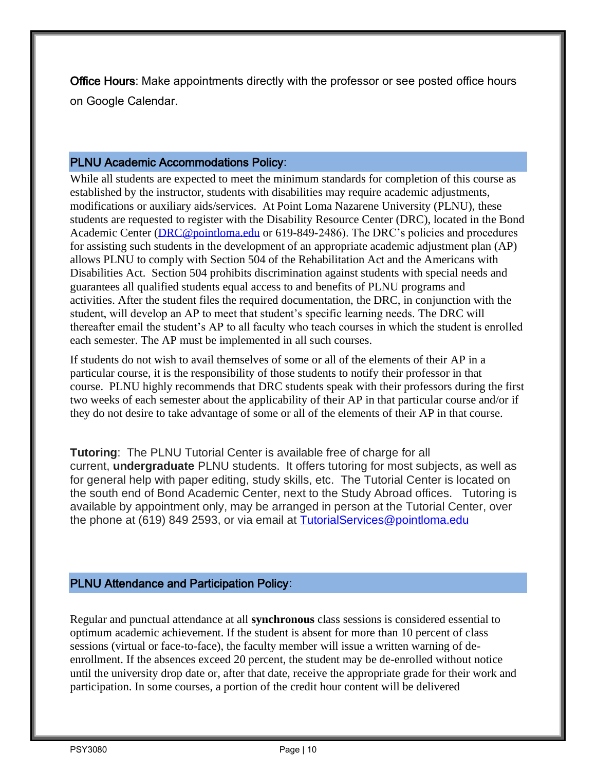Office Hours: Make appointments directly with the professor or see posted office hours on Google Calendar.

### PLNU Academic Accommodations Policy:

While all students are expected to meet the minimum standards for completion of this course as established by the instructor, students with disabilities may require academic adjustments, modifications or auxiliary aids/services. At Point Loma Nazarene University (PLNU), these students are requested to register with the Disability Resource Center (DRC), located in the Bond Academic Center [\(DRC@pointloma.edu](mailto:DRC@pointloma.edu) or 619-849-2486). The DRC's policies and procedures for assisting such students in the development of an appropriate academic adjustment plan (AP) allows PLNU to comply with Section 504 of the Rehabilitation Act and the Americans with Disabilities Act. Section 504 prohibits discrimination against students with special needs and guarantees all qualified students equal access to and benefits of PLNU programs and activities. After the student files the required documentation, the DRC, in conjunction with the student, will develop an AP to meet that student's specific learning needs. The DRC will thereafter email the student's AP to all faculty who teach courses in which the student is enrolled each semester. The AP must be implemented in all such courses.

If students do not wish to avail themselves of some or all of the elements of their AP in a particular course, it is the responsibility of those students to notify their professor in that course. PLNU highly recommends that DRC students speak with their professors during the first two weeks of each semester about the applicability of their AP in that particular course and/or if they do not desire to take advantage of some or all of the elements of their AP in that course.

**Tutoring**: The PLNU Tutorial Center is available free of charge for all current, **undergraduate** PLNU students. It offers tutoring for most subjects, as well as for general help with paper editing, study skills, etc. The Tutorial Center is located on the south end of Bond Academic Center, next to the Study Abroad offices. Tutoring is available by appointment only, may be arranged in person at the Tutorial Center, over the phone at (619) 849 2593, or via email at **TutorialServices@pointloma.edu** 

# PLNU Attendance and Participation Policy:

Regular and punctual attendance at all **synchronous** class sessions is considered essential to optimum academic achievement. If the student is absent for more than 10 percent of class sessions (virtual or face-to-face), the faculty member will issue a written warning of deenrollment. If the absences exceed 20 percent, the student may be de-enrolled without notice until the university drop date or, after that date, receive the appropriate grade for their work and participation. In some courses, a portion of the credit hour content will be delivered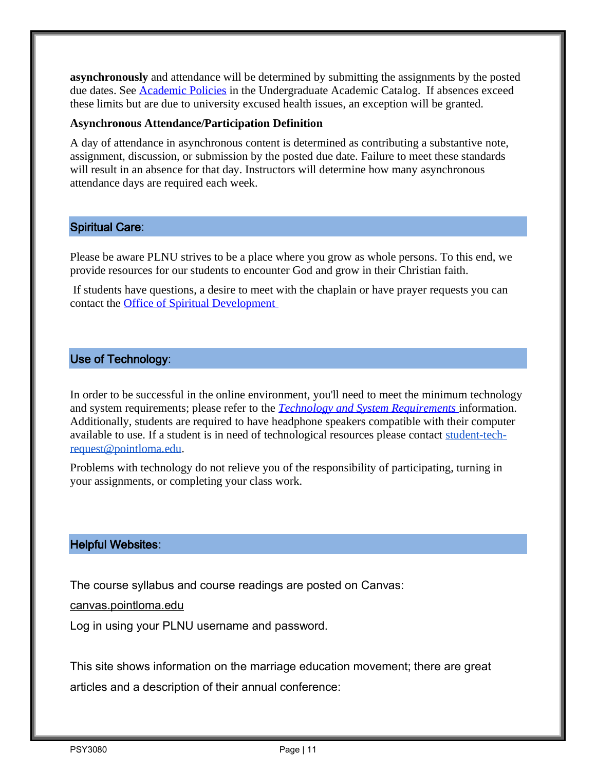**asynchronously** and attendance will be determined by submitting the assignments by the posted due dates. See [Academic Policies](https://catalog.pointloma.edu/content.php?catoid=46&navoid=2650#Class_Attendance) in the Undergraduate Academic Catalog. If absences exceed these limits but are due to university excused health issues, an exception will be granted.

#### **Asynchronous Attendance/Participation Definition**

A day of attendance in asynchronous content is determined as contributing a substantive note, assignment, discussion, or submission by the posted due date. Failure to meet these standards will result in an absence for that day. Instructors will determine how many asynchronous attendance days are required each week.

### Spiritual Care:

Please be aware PLNU strives to be a place where you grow as whole persons. To this end, we provide resources for our students to encounter God and grow in their Christian faith.

If students have questions, a desire to meet with the chaplain or have prayer requests you can contact the [Office of Spiritual Development](https://www.pointloma.edu/offices/spiritual-development)

## Use of Technology:

In order to be successful in the online environment, you'll need to meet the minimum technology and system requirements; please refer to the *[Technology and System Requirements](https://help.pointloma.edu/TDClient/1808/Portal/KB/ArticleDet?ID=108349)* information. Additionally, students are required to have headphone speakers compatible with their computer available to use. If a student is in need of technological resources please contact [student-tech](mailto:student-tech-request@pointloma.edu)[request@pointloma.edu.](mailto:student-tech-request@pointloma.edu)

Problems with technology do not relieve you of the responsibility of participating, turning in your assignments, or completing your class work.

## Helpful Websites:

The course syllabus and course readings are posted on Canvas:

canvas.pointloma.edu

Log in using your PLNU username and password.

This site shows information on the marriage education movement; there are great articles and a description of their annual conference: